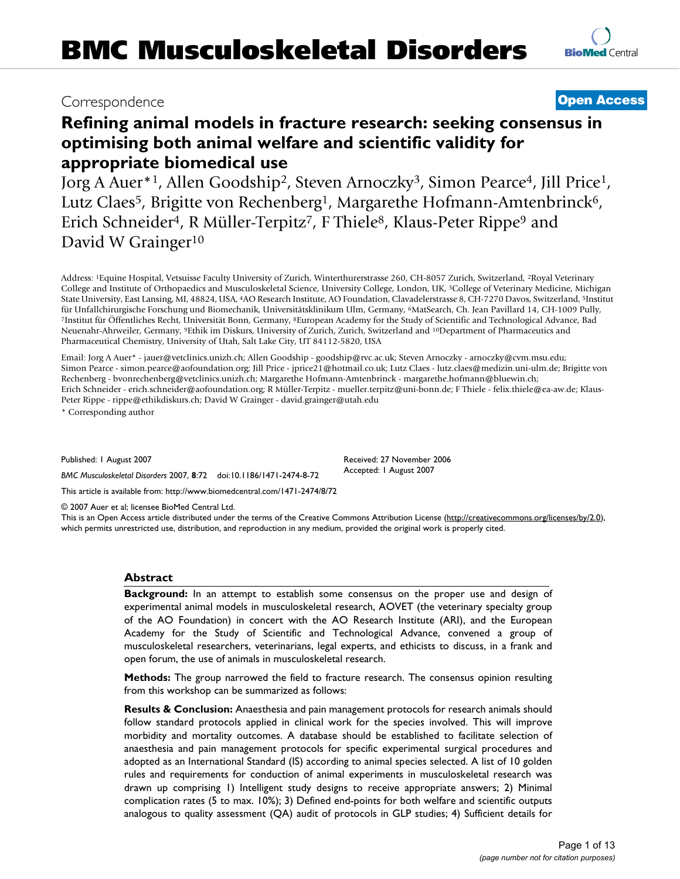## Correspondence **[Open Access](http://www.biomedcentral.com/info/about/charter/)**

# **Refining animal models in fracture research: seeking consensus in optimising both animal welfare and scientific validity for appropriate biomedical use**

Jorg A Auer\*1, Allen Goodship2, Steven Arnoczky3, Simon Pearce4, Jill Price1, Lutz Claes<sup>5</sup>, Brigitte von Rechenberg<sup>1</sup>, Margarethe Hofmann-Amtenbrinck<sup>6</sup>, Erich Schneider<sup>4</sup>, R Müller-Terpitz<sup>7</sup>, F Thiele<sup>8</sup>, Klaus-Peter Rippe<sup>9</sup> and David W Grainger<sup>10</sup>

Address: 1Equine Hospital, Vetsuisse Faculty University of Zurich, Winterthurerstrasse 260, CH-8057 Zurich, Switzerland, 2Royal Veterinary College and Institute of Orthopaedics and Musculoskeletal Science, University College, London, UK, 3College of Veterinary Medicine, Michigan State University, East Lansing, MI, 48824, USA, 4AO Research Institute, AO Foundation, Clavadelerstrasse 8, CH-7270 Davos, Switzerland, 5Institut für Unfallchirurgische Forschung und Biomechanik, Universitätsklinikum Ulm, Germany, <sup>6</sup>MatSearch, Ch. Jean Pavillard 14, CH-1009 Pully, <sup>7</sup>Institut für Öffentliches Recht, Universität Bonn, Germany, <sup>8</sup>European Academy fo Neuenahr-Ahrweiler, Germany, 9Ethik im Diskurs, University of Zurich, Zurich, Switzerland and 10Department of Pharmaceutics and Pharmaceutical Chemistry, University of Utah, Salt Lake City, UT 84112-5820, USA

Email: Jorg A Auer\* - jauer@vetclinics.unizh.ch; Allen Goodship - goodship@rvc.ac.uk; Steven Arnoczky - arnoczky@cvm.msu.edu; Simon Pearce - simon.pearce@aofoundation.org; Jill Price - jprice21@hotmail.co.uk; Lutz Claes - lutz.claes@medizin.uni-ulm.de; Brigitte von Rechenberg - bvonrechenberg@vetclinics.unizh.ch; Margarethe Hofmann-Amtenbrinck - margarethe.hofmann@bluewin.ch; Erich Schneider - erich.schneider@aofoundation.org; R Müller-Terpitz - mueller.terpitz@uni-bonn.de; F Thiele - felix.thiele@ea-aw.de; Klaus-Peter Rippe - rippe@ethikdiskurs.ch; David W Grainger - david.grainger@utah.edu

\* Corresponding author

Published: 1 August 2007

*BMC Musculoskeletal Disorders* 2007, **8**:72 doi:10.1186/1471-2474-8-72

[This article is available from: http://www.biomedcentral.com/1471-2474/8/72](http://www.biomedcentral.com/1471-2474/8/72)

© 2007 Auer et al; licensee BioMed Central Ltd.

This is an Open Access article distributed under the terms of the Creative Commons Attribution License [\(http://creativecommons.org/licenses/by/2.0\)](http://creativecommons.org/licenses/by/2.0), which permits unrestricted use, distribution, and reproduction in any medium, provided the original work is properly cited.

Received: 27 November 2006 Accepted: 1 August 2007

#### **Abstract**

**Background:** In an attempt to establish some consensus on the proper use and design of experimental animal models in musculoskeletal research, AOVET (the veterinary specialty group of the AO Foundation) in concert with the AO Research Institute (ARI), and the European Academy for the Study of Scientific and Technological Advance, convened a group of musculoskeletal researchers, veterinarians, legal experts, and ethicists to discuss, in a frank and open forum, the use of animals in musculoskeletal research.

**Methods:** The group narrowed the field to fracture research. The consensus opinion resulting from this workshop can be summarized as follows:

**Results & Conclusion:** Anaesthesia and pain management protocols for research animals should follow standard protocols applied in clinical work for the species involved. This will improve morbidity and mortality outcomes. A database should be established to facilitate selection of anaesthesia and pain management protocols for specific experimental surgical procedures and adopted as an International Standard (IS) according to animal species selected. A list of 10 golden rules and requirements for conduction of animal experiments in musculoskeletal research was drawn up comprising 1) Intelligent study designs to receive appropriate answers; 2) Minimal complication rates (5 to max. 10%); 3) Defined end-points for both welfare and scientific outputs analogous to quality assessment (QA) audit of protocols in GLP studies; 4) Sufficient details for

**[BioMed](http://www.biomedcentral.com/)** Central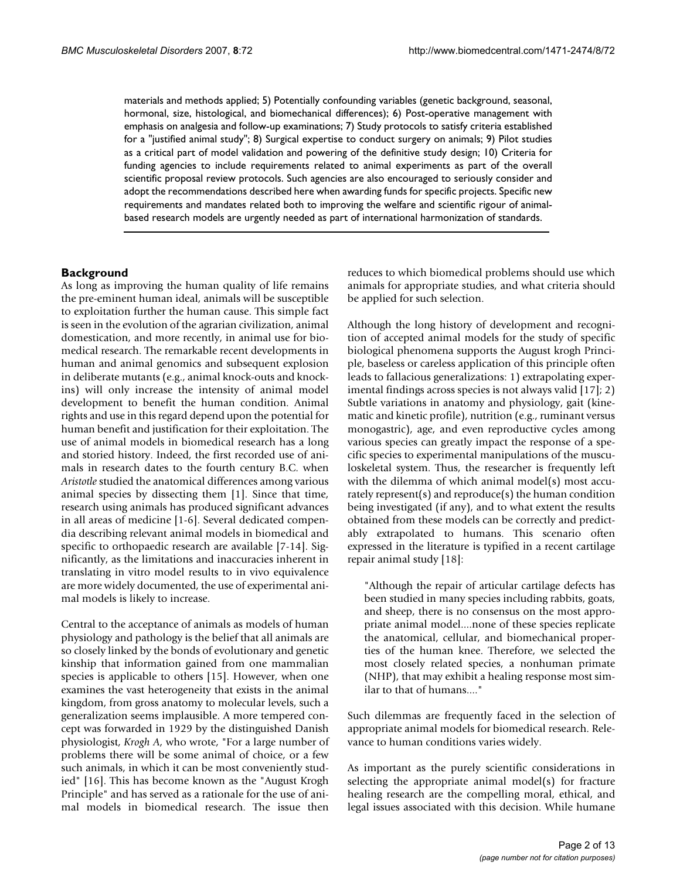materials and methods applied; 5) Potentially confounding variables (genetic background, seasonal, hormonal, size, histological, and biomechanical differences); 6) Post-operative management with emphasis on analgesia and follow-up examinations; 7) Study protocols to satisfy criteria established for a "justified animal study"; 8) Surgical expertise to conduct surgery on animals; 9) Pilot studies as a critical part of model validation and powering of the definitive study design; 10) Criteria for funding agencies to include requirements related to animal experiments as part of the overall scientific proposal review protocols. Such agencies are also encouraged to seriously consider and adopt the recommendations described here when awarding funds for specific projects. Specific new requirements and mandates related both to improving the welfare and scientific rigour of animalbased research models are urgently needed as part of international harmonization of standards.

#### **Background**

As long as improving the human quality of life remains the pre-eminent human ideal, animals will be susceptible to exploitation further the human cause. This simple fact is seen in the evolution of the agrarian civilization, animal domestication, and more recently, in animal use for biomedical research. The remarkable recent developments in human and animal genomics and subsequent explosion in deliberate mutants (e.g., animal knock-outs and knockins) will only increase the intensity of animal model development to benefit the human condition. Animal rights and use in this regard depend upon the potential for human benefit and justification for their exploitation. The use of animal models in biomedical research has a long and storied history. Indeed, the first recorded use of animals in research dates to the fourth century B.C. when *Aristotle* studied the anatomical differences among various animal species by dissecting them [1]. Since that time, research using animals has produced significant advances in all areas of medicine [1-6]. Several dedicated compendia describing relevant animal models in biomedical and specific to orthopaedic research are available [7-14]. Significantly, as the limitations and inaccuracies inherent in translating in vitro model results to in vivo equivalence are more widely documented, the use of experimental animal models is likely to increase.

Central to the acceptance of animals as models of human physiology and pathology is the belief that all animals are so closely linked by the bonds of evolutionary and genetic kinship that information gained from one mammalian species is applicable to others [15]. However, when one examines the vast heterogeneity that exists in the animal kingdom, from gross anatomy to molecular levels, such a generalization seems implausible. A more tempered concept was forwarded in 1929 by the distinguished Danish physiologist, *Krogh A*, who wrote, "For a large number of problems there will be some animal of choice, or a few such animals, in which it can be most conveniently studied" [16]. This has become known as the "August Krogh Principle" and has served as a rationale for the use of animal models in biomedical research. The issue then

reduces to which biomedical problems should use which animals for appropriate studies, and what criteria should be applied for such selection.

Although the long history of development and recognition of accepted animal models for the study of specific biological phenomena supports the August krogh Principle, baseless or careless application of this principle often leads to fallacious generalizations: 1) extrapolating experimental findings across species is not always valid [17]; 2) Subtle variations in anatomy and physiology, gait (kinematic and kinetic profile), nutrition (e.g., ruminant versus monogastric), age, and even reproductive cycles among various species can greatly impact the response of a specific species to experimental manipulations of the musculoskeletal system. Thus, the researcher is frequently left with the dilemma of which animal model(s) most accurately represent(s) and reproduce(s) the human condition being investigated (if any), and to what extent the results obtained from these models can be correctly and predictably extrapolated to humans. This scenario often expressed in the literature is typified in a recent cartilage repair animal study [18]:

"Although the repair of articular cartilage defects has been studied in many species including rabbits, goats, and sheep, there is no consensus on the most appropriate animal model....none of these species replicate the anatomical, cellular, and biomechanical properties of the human knee. Therefore, we selected the most closely related species, a nonhuman primate (NHP), that may exhibit a healing response most similar to that of humans...."

Such dilemmas are frequently faced in the selection of appropriate animal models for biomedical research. Relevance to human conditions varies widely.

As important as the purely scientific considerations in selecting the appropriate animal model(s) for fracture healing research are the compelling moral, ethical, and legal issues associated with this decision. While humane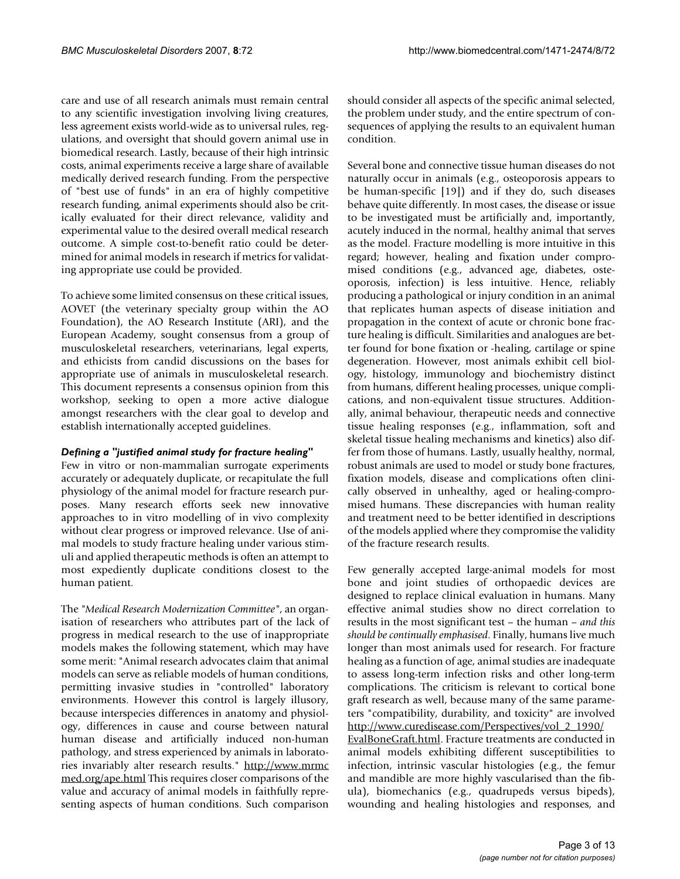care and use of all research animals must remain central to any scientific investigation involving living creatures, less agreement exists world-wide as to universal rules, regulations, and oversight that should govern animal use in biomedical research. Lastly, because of their high intrinsic costs, animal experiments receive a large share of available medically derived research funding. From the perspective of "best use of funds" in an era of highly competitive research funding, animal experiments should also be critically evaluated for their direct relevance, validity and experimental value to the desired overall medical research outcome. A simple cost-to-benefit ratio could be determined for animal models in research if metrics for validating appropriate use could be provided.

To achieve some limited consensus on these critical issues, AOVET (the veterinary specialty group within the AO Foundation), the AO Research Institute (ARI), and the European Academy, sought consensus from a group of musculoskeletal researchers, veterinarians, legal experts, and ethicists from candid discussions on the bases for appropriate use of animals in musculoskeletal research. This document represents a consensus opinion from this workshop, seeking to open a more active dialogue amongst researchers with the clear goal to develop and establish internationally accepted guidelines.

#### *Defining a "justified animal study for fracture healing"*

Few in vitro or non-mammalian surrogate experiments accurately or adequately duplicate, or recapitulate the full physiology of the animal model for fracture research purposes. Many research efforts seek new innovative approaches to in vitro modelling of in vivo complexity without clear progress or improved relevance. Use of animal models to study fracture healing under various stimuli and applied therapeutic methods is often an attempt to most expediently duplicate conditions closest to the human patient.

The *"Medical Research Modernization Committee"*, an organisation of researchers who attributes part of the lack of progress in medical research to the use of inappropriate models makes the following statement, which may have some merit: "Animal research advocates claim that animal models can serve as reliable models of human conditions, permitting invasive studies in "controlled" laboratory environments. However this control is largely illusory, because interspecies differences in anatomy and physiology, differences in cause and course between natural human disease and artificially induced non-human pathology, and stress experienced by animals in laboratories invariably alter research results." [http://www.mrmc](http://www.mrmcmed.org/ape.html) [med.org/ape.html](http://www.mrmcmed.org/ape.html) This requires closer comparisons of the value and accuracy of animal models in faithfully representing aspects of human conditions. Such comparison should consider all aspects of the specific animal selected, the problem under study, and the entire spectrum of consequences of applying the results to an equivalent human condition.

Several bone and connective tissue human diseases do not naturally occur in animals (e.g., osteoporosis appears to be human-specific [19]) and if they do, such diseases behave quite differently. In most cases, the disease or issue to be investigated must be artificially and, importantly, acutely induced in the normal, healthy animal that serves as the model. Fracture modelling is more intuitive in this regard; however, healing and fixation under compromised conditions (e.g., advanced age, diabetes, osteoporosis, infection) is less intuitive. Hence, reliably producing a pathological or injury condition in an animal that replicates human aspects of disease initiation and propagation in the context of acute or chronic bone fracture healing is difficult. Similarities and analogues are better found for bone fixation or -healing, cartilage or spine degeneration. However, most animals exhibit cell biology, histology, immunology and biochemistry distinct from humans, different healing processes, unique complications, and non-equivalent tissue structures. Additionally, animal behaviour, therapeutic needs and connective tissue healing responses (e.g., inflammation, soft and skeletal tissue healing mechanisms and kinetics) also differ from those of humans. Lastly, usually healthy, normal, robust animals are used to model or study bone fractures, fixation models, disease and complications often clinically observed in unhealthy, aged or healing-compromised humans. These discrepancies with human reality and treatment need to be better identified in descriptions of the models applied where they compromise the validity of the fracture research results.

Few generally accepted large-animal models for most bone and joint studies of orthopaedic devices are designed to replace clinical evaluation in humans. Many effective animal studies show no direct correlation to results in the most significant test – the human – *and this should be continually emphasised*. Finally, humans live much longer than most animals used for research. For fracture healing as a function of age, animal studies are inadequate to assess long-term infection risks and other long-term complications. The criticism is relevant to cortical bone graft research as well, because many of the same parameters "compatibility, durability, and toxicity" are involved [http://www.curedisease.com/Perspectives/vol\\_2\\_1990/](http://www.curedisease.com/Perspectives/vol_2_1990/EvalBoneGraft.html) [EvalBoneGraft.html.](http://www.curedisease.com/Perspectives/vol_2_1990/EvalBoneGraft.html) Fracture treatments are conducted in animal models exhibiting different susceptibilities to infection, intrinsic vascular histologies (e.g., the femur and mandible are more highly vascularised than the fibula), biomechanics (e.g., quadrupeds versus bipeds), wounding and healing histologies and responses, and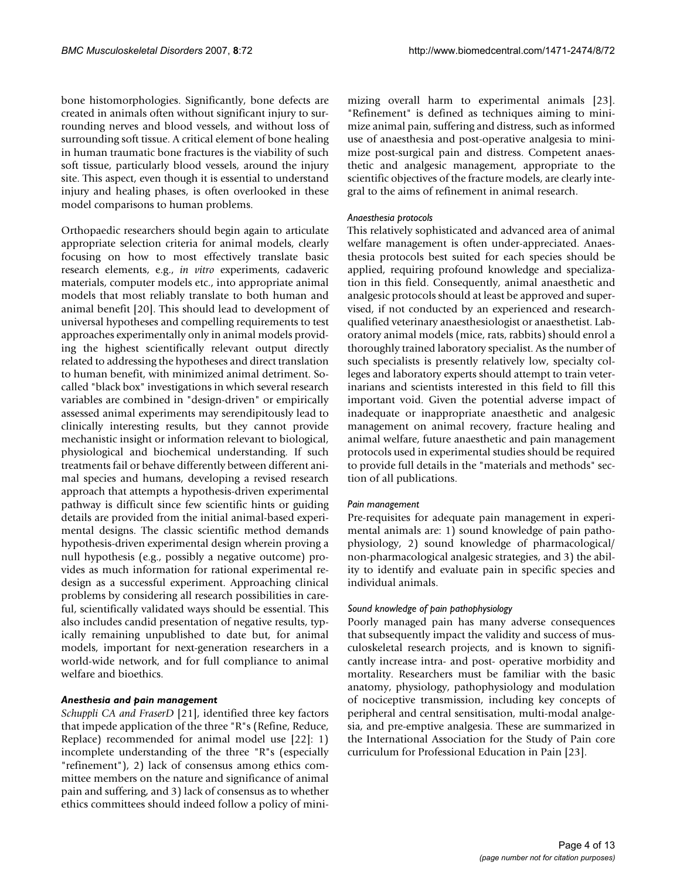bone histomorphologies. Significantly, bone defects are created in animals often without significant injury to surrounding nerves and blood vessels, and without loss of surrounding soft tissue. A critical element of bone healing in human traumatic bone fractures is the viability of such soft tissue, particularly blood vessels, around the injury site. This aspect, even though it is essential to understand injury and healing phases, is often overlooked in these model comparisons to human problems.

Orthopaedic researchers should begin again to articulate appropriate selection criteria for animal models, clearly focusing on how to most effectively translate basic research elements, e.g., *in vitro* experiments, cadaveric materials, computer models etc., into appropriate animal models that most reliably translate to both human and animal benefit [20]. This should lead to development of universal hypotheses and compelling requirements to test approaches experimentally only in animal models providing the highest scientifically relevant output directly related to addressing the hypotheses and direct translation to human benefit, with minimized animal detriment. Socalled "black box" investigations in which several research variables are combined in "design-driven" or empirically assessed animal experiments may serendipitously lead to clinically interesting results, but they cannot provide mechanistic insight or information relevant to biological, physiological and biochemical understanding. If such treatments fail or behave differently between different animal species and humans, developing a revised research approach that attempts a hypothesis-driven experimental pathway is difficult since few scientific hints or guiding details are provided from the initial animal-based experimental designs. The classic scientific method demands hypothesis-driven experimental design wherein proving a null hypothesis (e.g., possibly a negative outcome) provides as much information for rational experimental redesign as a successful experiment. Approaching clinical problems by considering all research possibilities in careful, scientifically validated ways should be essential. This also includes candid presentation of negative results, typically remaining unpublished to date but, for animal models, important for next-generation researchers in a world-wide network, and for full compliance to animal welfare and bioethics.

#### *Anesthesia and pain management*

*Schuppli CA and FraserD* [21], identified three key factors that impede application of the three "R"s (Refine, Reduce, Replace) recommended for animal model use [22]: 1) incomplete understanding of the three "R"s (especially "refinement"), 2) lack of consensus among ethics committee members on the nature and significance of animal pain and suffering, and 3) lack of consensus as to whether ethics committees should indeed follow a policy of minimizing overall harm to experimental animals [23]. "Refinement" is defined as techniques aiming to minimize animal pain, suffering and distress, such as informed use of anaesthesia and post-operative analgesia to minimize post-surgical pain and distress. Competent anaesthetic and analgesic management, appropriate to the scientific objectives of the fracture models, are clearly integral to the aims of refinement in animal research.

#### *Anaesthesia protocols*

This relatively sophisticated and advanced area of animal welfare management is often under-appreciated. Anaesthesia protocols best suited for each species should be applied, requiring profound knowledge and specialization in this field. Consequently, animal anaesthetic and analgesic protocols should at least be approved and supervised, if not conducted by an experienced and researchqualified veterinary anaesthesiologist or anaesthetist. Laboratory animal models (mice, rats, rabbits) should enrol a thoroughly trained laboratory specialist. As the number of such specialists is presently relatively low, specialty colleges and laboratory experts should attempt to train veterinarians and scientists interested in this field to fill this important void. Given the potential adverse impact of inadequate or inappropriate anaesthetic and analgesic management on animal recovery, fracture healing and animal welfare, future anaesthetic and pain management protocols used in experimental studies should be required to provide full details in the "materials and methods" section of all publications.

#### *Pain management*

Pre-requisites for adequate pain management in experimental animals are: 1) sound knowledge of pain pathophysiology, 2) sound knowledge of pharmacological/ non-pharmacological analgesic strategies, and 3) the ability to identify and evaluate pain in specific species and individual animals.

#### *Sound knowledge of pain pathophysiology*

Poorly managed pain has many adverse consequences that subsequently impact the validity and success of musculoskeletal research projects, and is known to significantly increase intra- and post- operative morbidity and mortality. Researchers must be familiar with the basic anatomy, physiology, pathophysiology and modulation of nociceptive transmission, including key concepts of peripheral and central sensitisation, multi-modal analgesia, and pre-emptive analgesia. These are summarized in the International Association for the Study of Pain core curriculum for Professional Education in Pain [23].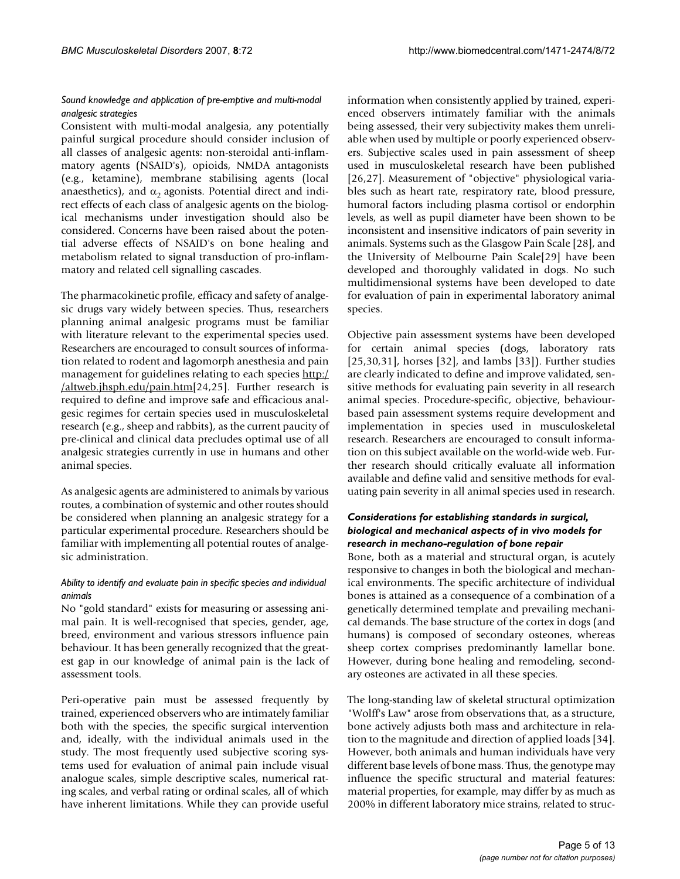#### *Sound knowledge and application of pre-emptive and multi-modal analgesic strategies*

Consistent with multi-modal analgesia, any potentially painful surgical procedure should consider inclusion of all classes of analgesic agents: non-steroidal anti-inflammatory agents (NSAID's), opioids, NMDA antagonists (e.g., ketamine), membrane stabilising agents (local anaesthetics), and  $\alpha_2$  agonists. Potential direct and indirect effects of each class of analgesic agents on the biological mechanisms under investigation should also be considered. Concerns have been raised about the potential adverse effects of NSAID's on bone healing and metabolism related to signal transduction of pro-inflammatory and related cell signalling cascades.

The pharmacokinetic profile, efficacy and safety of analgesic drugs vary widely between species. Thus, researchers planning animal analgesic programs must be familiar with literature relevant to the experimental species used. Researchers are encouraged to consult sources of information related to rodent and lagomorph anesthesia and pain management for guidelines relating to each species [http:/](http://altweb.jhsph.edu/pain.htm) [/altweb.jhsph.edu/pain.htm\[](http://altweb.jhsph.edu/pain.htm)24,25]. Further research is required to define and improve safe and efficacious analgesic regimes for certain species used in musculoskeletal research (e.g., sheep and rabbits), as the current paucity of pre-clinical and clinical data precludes optimal use of all analgesic strategies currently in use in humans and other animal species.

As analgesic agents are administered to animals by various routes, a combination of systemic and other routes should be considered when planning an analgesic strategy for a particular experimental procedure. Researchers should be familiar with implementing all potential routes of analgesic administration.

#### *Ability to identify and evaluate pain in specific species and individual animals*

No "gold standard" exists for measuring or assessing animal pain. It is well-recognised that species, gender, age, breed, environment and various stressors influence pain behaviour. It has been generally recognized that the greatest gap in our knowledge of animal pain is the lack of assessment tools.

Peri-operative pain must be assessed frequently by trained, experienced observers who are intimately familiar both with the species, the specific surgical intervention and, ideally, with the individual animals used in the study. The most frequently used subjective scoring systems used for evaluation of animal pain include visual analogue scales, simple descriptive scales, numerical rating scales, and verbal rating or ordinal scales, all of which have inherent limitations. While they can provide useful

information when consistently applied by trained, experienced observers intimately familiar with the animals being assessed, their very subjectivity makes them unreliable when used by multiple or poorly experienced observers. Subjective scales used in pain assessment of sheep used in musculoskeletal research have been published [26,27]. Measurement of "objective" physiological variables such as heart rate, respiratory rate, blood pressure, humoral factors including plasma cortisol or endorphin levels, as well as pupil diameter have been shown to be inconsistent and insensitive indicators of pain severity in animals. Systems such as the Glasgow Pain Scale [28], and the University of Melbourne Pain Scale[29] have been developed and thoroughly validated in dogs. No such multidimensional systems have been developed to date for evaluation of pain in experimental laboratory animal species.

Objective pain assessment systems have been developed for certain animal species (dogs, laboratory rats [25,30,31], horses [32], and lambs [33]). Further studies are clearly indicated to define and improve validated, sensitive methods for evaluating pain severity in all research animal species. Procedure-specific, objective, behaviourbased pain assessment systems require development and implementation in species used in musculoskeletal research. Researchers are encouraged to consult information on this subject available on the world-wide web. Further research should critically evaluate all information available and define valid and sensitive methods for evaluating pain severity in all animal species used in research.

### *Considerations for establishing standards in surgical, biological and mechanical aspects of in vivo models for research in mechano-regulation of bone repair*

Bone, both as a material and structural organ, is acutely responsive to changes in both the biological and mechanical environments. The specific architecture of individual bones is attained as a consequence of a combination of a genetically determined template and prevailing mechanical demands. The base structure of the cortex in dogs (and humans) is composed of secondary osteones, whereas sheep cortex comprises predominantly lamellar bone. However, during bone healing and remodeling, secondary osteones are activated in all these species.

The long-standing law of skeletal structural optimization "Wolff's Law" arose from observations that, as a structure, bone actively adjusts both mass and architecture in relation to the magnitude and direction of applied loads [34]. However, both animals and human individuals have very different base levels of bone mass. Thus, the genotype may influence the specific structural and material features: material properties, for example, may differ by as much as 200% in different laboratory mice strains, related to struc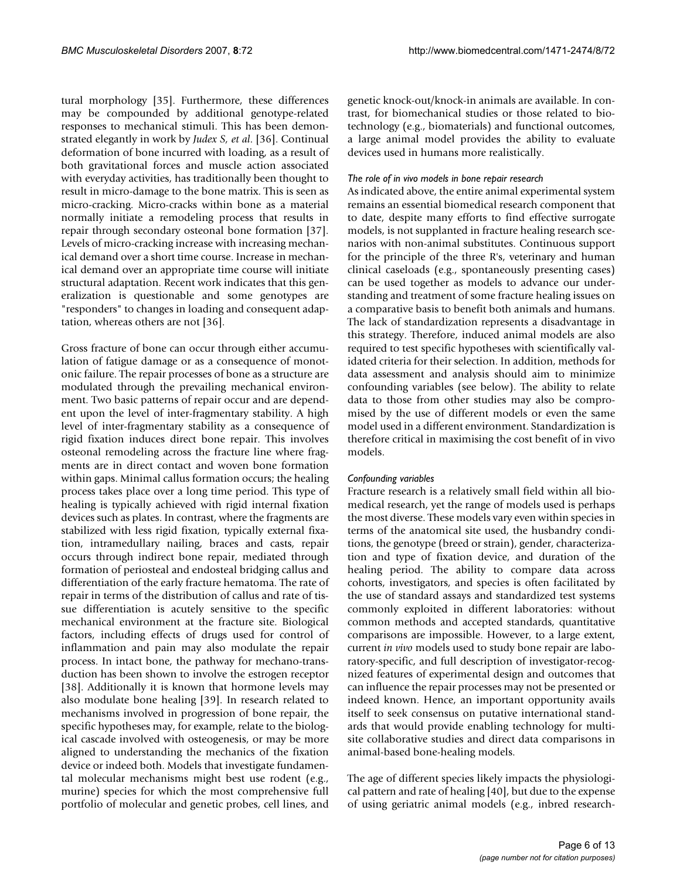tural morphology [35]. Furthermore, these differences may be compounded by additional genotype-related responses to mechanical stimuli. This has been demonstrated elegantly in work by *Judex S, et al*. [36]. Continual deformation of bone incurred with loading, as a result of both gravitational forces and muscle action associated with everyday activities, has traditionally been thought to result in micro-damage to the bone matrix. This is seen as micro-cracking. Micro-cracks within bone as a material normally initiate a remodeling process that results in repair through secondary osteonal bone formation [37]. Levels of micro-cracking increase with increasing mechanical demand over a short time course. Increase in mechanical demand over an appropriate time course will initiate structural adaptation. Recent work indicates that this generalization is questionable and some genotypes are "responders" to changes in loading and consequent adaptation, whereas others are not [36].

Gross fracture of bone can occur through either accumulation of fatigue damage or as a consequence of monotonic failure. The repair processes of bone as a structure are modulated through the prevailing mechanical environment. Two basic patterns of repair occur and are dependent upon the level of inter-fragmentary stability. A high level of inter-fragmentary stability as a consequence of rigid fixation induces direct bone repair. This involves osteonal remodeling across the fracture line where fragments are in direct contact and woven bone formation within gaps. Minimal callus formation occurs; the healing process takes place over a long time period. This type of healing is typically achieved with rigid internal fixation devices such as plates. In contrast, where the fragments are stabilized with less rigid fixation, typically external fixation, intramedullary nailing, braces and casts, repair occurs through indirect bone repair, mediated through formation of periosteal and endosteal bridging callus and differentiation of the early fracture hematoma. The rate of repair in terms of the distribution of callus and rate of tissue differentiation is acutely sensitive to the specific mechanical environment at the fracture site. Biological factors, including effects of drugs used for control of inflammation and pain may also modulate the repair process. In intact bone, the pathway for mechano-transduction has been shown to involve the estrogen receptor [38]. Additionally it is known that hormone levels may also modulate bone healing [39]. In research related to mechanisms involved in progression of bone repair, the specific hypotheses may, for example, relate to the biological cascade involved with osteogenesis, or may be more aligned to understanding the mechanics of the fixation device or indeed both. Models that investigate fundamental molecular mechanisms might best use rodent (e.g., murine) species for which the most comprehensive full portfolio of molecular and genetic probes, cell lines, and

genetic knock-out/knock-in animals are available. In contrast, for biomechanical studies or those related to biotechnology (e.g., biomaterials) and functional outcomes, a large animal model provides the ability to evaluate devices used in humans more realistically.

#### *The role of in vivo models in bone repair research*

As indicated above, the entire animal experimental system remains an essential biomedical research component that to date, despite many efforts to find effective surrogate models, is not supplanted in fracture healing research scenarios with non-animal substitutes. Continuous support for the principle of the three R's, veterinary and human clinical caseloads (e.g., spontaneously presenting cases) can be used together as models to advance our understanding and treatment of some fracture healing issues on a comparative basis to benefit both animals and humans. The lack of standardization represents a disadvantage in this strategy. Therefore, induced animal models are also required to test specific hypotheses with scientifically validated criteria for their selection. In addition, methods for data assessment and analysis should aim to minimize confounding variables (see below). The ability to relate data to those from other studies may also be compromised by the use of different models or even the same model used in a different environment. Standardization is therefore critical in maximising the cost benefit of in vivo models.

### *Confounding variables*

Fracture research is a relatively small field within all biomedical research, yet the range of models used is perhaps the most diverse. These models vary even within species in terms of the anatomical site used, the husbandry conditions, the genotype (breed or strain), gender, characterization and type of fixation device, and duration of the healing period. The ability to compare data across cohorts, investigators, and species is often facilitated by the use of standard assays and standardized test systems commonly exploited in different laboratories: without common methods and accepted standards, quantitative comparisons are impossible. However, to a large extent, current *in vivo* models used to study bone repair are laboratory-specific, and full description of investigator-recognized features of experimental design and outcomes that can influence the repair processes may not be presented or indeed known. Hence, an important opportunity avails itself to seek consensus on putative international standards that would provide enabling technology for multisite collaborative studies and direct data comparisons in animal-based bone-healing models.

The age of different species likely impacts the physiological pattern and rate of healing [40], but due to the expense of using geriatric animal models (e.g., inbred research-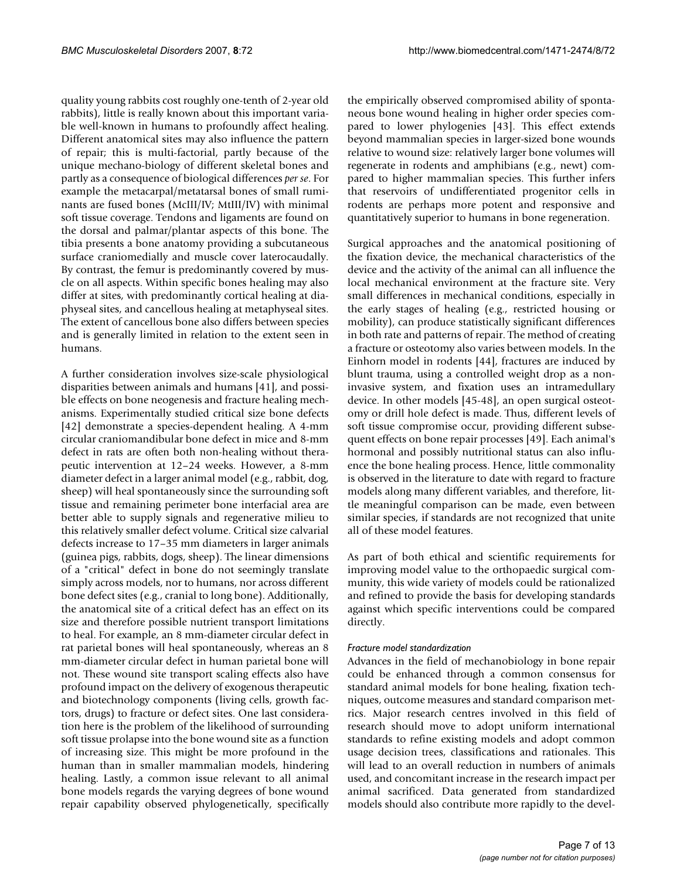quality young rabbits cost roughly one-tenth of 2-year old rabbits), little is really known about this important variable well-known in humans to profoundly affect healing. Different anatomical sites may also influence the pattern of repair; this is multi-factorial, partly because of the unique mechano-biology of different skeletal bones and partly as a consequence of biological differences *per se*. For example the metacarpal/metatarsal bones of small ruminants are fused bones (McIII/IV; MtIII/IV) with minimal soft tissue coverage. Tendons and ligaments are found on the dorsal and palmar/plantar aspects of this bone. The tibia presents a bone anatomy providing a subcutaneous surface craniomedially and muscle cover laterocaudally. By contrast, the femur is predominantly covered by muscle on all aspects. Within specific bones healing may also differ at sites, with predominantly cortical healing at diaphyseal sites, and cancellous healing at metaphyseal sites. The extent of cancellous bone also differs between species and is generally limited in relation to the extent seen in humans.

A further consideration involves size-scale physiological disparities between animals and humans [41], and possible effects on bone neogenesis and fracture healing mechanisms. Experimentally studied critical size bone defects [42] demonstrate a species-dependent healing. A 4-mm circular craniomandibular bone defect in mice and 8-mm defect in rats are often both non-healing without therapeutic intervention at 12–24 weeks. However, a 8-mm diameter defect in a larger animal model (e.g., rabbit, dog, sheep) will heal spontaneously since the surrounding soft tissue and remaining perimeter bone interfacial area are better able to supply signals and regenerative milieu to this relatively smaller defect volume. Critical size calvarial defects increase to 17–35 mm diameters in larger animals (guinea pigs, rabbits, dogs, sheep). The linear dimensions of a "critical" defect in bone do not seemingly translate simply across models, nor to humans, nor across different bone defect sites (e.g., cranial to long bone). Additionally, the anatomical site of a critical defect has an effect on its size and therefore possible nutrient transport limitations to heal. For example, an 8 mm-diameter circular defect in rat parietal bones will heal spontaneously, whereas an 8 mm-diameter circular defect in human parietal bone will not. These wound site transport scaling effects also have profound impact on the delivery of exogenous therapeutic and biotechnology components (living cells, growth factors, drugs) to fracture or defect sites. One last consideration here is the problem of the likelihood of surrounding soft tissue prolapse into the bone wound site as a function of increasing size. This might be more profound in the human than in smaller mammalian models, hindering healing. Lastly, a common issue relevant to all animal bone models regards the varying degrees of bone wound repair capability observed phylogenetically, specifically the empirically observed compromised ability of spontaneous bone wound healing in higher order species compared to lower phylogenies [43]. This effect extends beyond mammalian species in larger-sized bone wounds relative to wound size: relatively larger bone volumes will regenerate in rodents and amphibians (e.g., newt) compared to higher mammalian species. This further infers that reservoirs of undifferentiated progenitor cells in rodents are perhaps more potent and responsive and quantitatively superior to humans in bone regeneration.

Surgical approaches and the anatomical positioning of the fixation device, the mechanical characteristics of the device and the activity of the animal can all influence the local mechanical environment at the fracture site. Very small differences in mechanical conditions, especially in the early stages of healing (e.g., restricted housing or mobility), can produce statistically significant differences in both rate and patterns of repair. The method of creating a fracture or osteotomy also varies between models. In the Einhorn model in rodents [44], fractures are induced by blunt trauma, using a controlled weight drop as a noninvasive system, and fixation uses an intramedullary device. In other models [45-48], an open surgical osteotomy or drill hole defect is made. Thus, different levels of soft tissue compromise occur, providing different subsequent effects on bone repair processes [49]. Each animal's hormonal and possibly nutritional status can also influence the bone healing process. Hence, little commonality is observed in the literature to date with regard to fracture models along many different variables, and therefore, little meaningful comparison can be made, even between similar species, if standards are not recognized that unite all of these model features.

As part of both ethical and scientific requirements for improving model value to the orthopaedic surgical community, this wide variety of models could be rationalized and refined to provide the basis for developing standards against which specific interventions could be compared directly.

#### *Fracture model standardization*

Advances in the field of mechanobiology in bone repair could be enhanced through a common consensus for standard animal models for bone healing, fixation techniques, outcome measures and standard comparison metrics. Major research centres involved in this field of research should move to adopt uniform international standards to refine existing models and adopt common usage decision trees, classifications and rationales. This will lead to an overall reduction in numbers of animals used, and concomitant increase in the research impact per animal sacrificed. Data generated from standardized models should also contribute more rapidly to the devel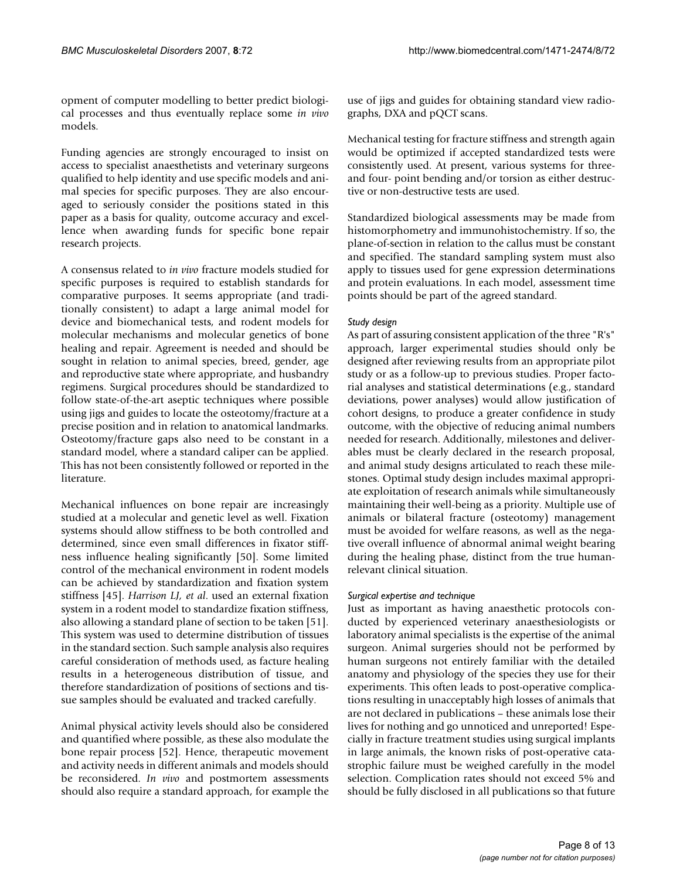opment of computer modelling to better predict biological processes and thus eventually replace some *in vivo* models.

Funding agencies are strongly encouraged to insist on access to specialist anaesthetists and veterinary surgeons qualified to help identity and use specific models and animal species for specific purposes. They are also encouraged to seriously consider the positions stated in this paper as a basis for quality, outcome accuracy and excellence when awarding funds for specific bone repair research projects.

A consensus related to *in vivo* fracture models studied for specific purposes is required to establish standards for comparative purposes. It seems appropriate (and traditionally consistent) to adapt a large animal model for device and biomechanical tests, and rodent models for molecular mechanisms and molecular genetics of bone healing and repair. Agreement is needed and should be sought in relation to animal species, breed, gender, age and reproductive state where appropriate, and husbandry regimens. Surgical procedures should be standardized to follow state-of-the-art aseptic techniques where possible using jigs and guides to locate the osteotomy/fracture at a precise position and in relation to anatomical landmarks. Osteotomy/fracture gaps also need to be constant in a standard model, where a standard caliper can be applied. This has not been consistently followed or reported in the literature.

Mechanical influences on bone repair are increasingly studied at a molecular and genetic level as well. Fixation systems should allow stiffness to be both controlled and determined, since even small differences in fixator stiffness influence healing significantly [50]. Some limited control of the mechanical environment in rodent models can be achieved by standardization and fixation system stiffness [45]. *Harrison LJ, et al*. used an external fixation system in a rodent model to standardize fixation stiffness, also allowing a standard plane of section to be taken [51]. This system was used to determine distribution of tissues in the standard section. Such sample analysis also requires careful consideration of methods used, as facture healing results in a heterogeneous distribution of tissue, and therefore standardization of positions of sections and tissue samples should be evaluated and tracked carefully.

Animal physical activity levels should also be considered and quantified where possible, as these also modulate the bone repair process [52]. Hence, therapeutic movement and activity needs in different animals and models should be reconsidered. *In vivo* and postmortem assessments should also require a standard approach, for example the use of jigs and guides for obtaining standard view radiographs, DXA and pQCT scans.

Mechanical testing for fracture stiffness and strength again would be optimized if accepted standardized tests were consistently used. At present, various systems for threeand four- point bending and/or torsion as either destructive or non-destructive tests are used.

Standardized biological assessments may be made from histomorphometry and immunohistochemistry. If so, the plane-of-section in relation to the callus must be constant and specified. The standard sampling system must also apply to tissues used for gene expression determinations and protein evaluations. In each model, assessment time points should be part of the agreed standard.

#### *Study design*

As part of assuring consistent application of the three "R's" approach, larger experimental studies should only be designed after reviewing results from an appropriate pilot study or as a follow-up to previous studies. Proper factorial analyses and statistical determinations (e.g., standard deviations, power analyses) would allow justification of cohort designs, to produce a greater confidence in study outcome, with the objective of reducing animal numbers needed for research. Additionally, milestones and deliverables must be clearly declared in the research proposal, and animal study designs articulated to reach these milestones. Optimal study design includes maximal appropriate exploitation of research animals while simultaneously maintaining their well-being as a priority. Multiple use of animals or bilateral fracture (osteotomy) management must be avoided for welfare reasons, as well as the negative overall influence of abnormal animal weight bearing during the healing phase, distinct from the true humanrelevant clinical situation.

#### *Surgical expertise and technique*

Just as important as having anaesthetic protocols conducted by experienced veterinary anaesthesiologists or laboratory animal specialists is the expertise of the animal surgeon. Animal surgeries should not be performed by human surgeons not entirely familiar with the detailed anatomy and physiology of the species they use for their experiments. This often leads to post-operative complications resulting in unacceptably high losses of animals that are not declared in publications – these animals lose their lives for nothing and go unnoticed and unreported! Especially in fracture treatment studies using surgical implants in large animals, the known risks of post-operative catastrophic failure must be weighed carefully in the model selection. Complication rates should not exceed 5% and should be fully disclosed in all publications so that future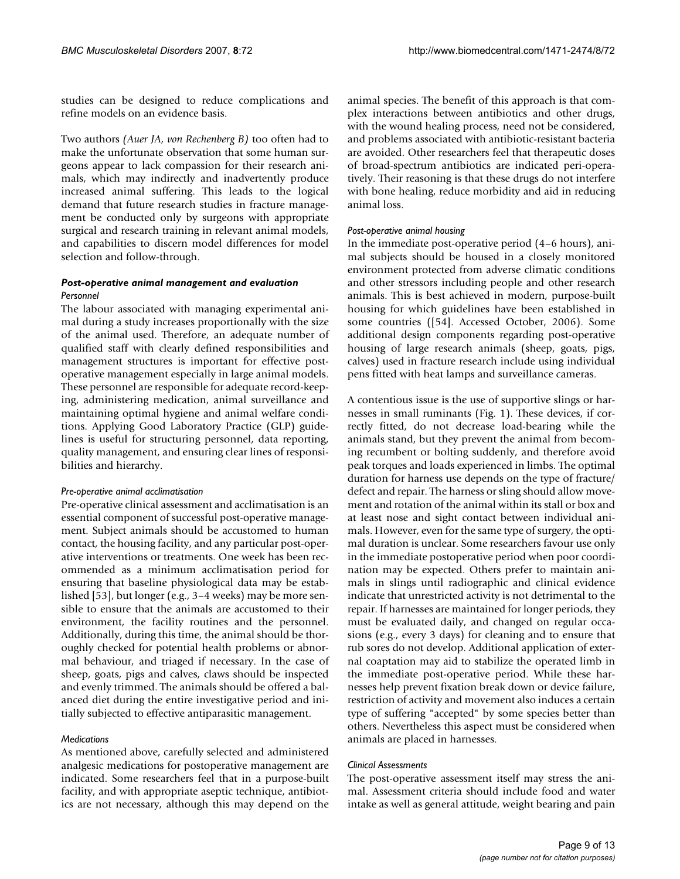studies can be designed to reduce complications and refine models on an evidence basis.

Two authors *(Auer JA, von Rechenberg B)* too often had to make the unfortunate observation that some human surgeons appear to lack compassion for their research animals, which may indirectly and inadvertently produce increased animal suffering. This leads to the logical demand that future research studies in fracture management be conducted only by surgeons with appropriate surgical and research training in relevant animal models, and capabilities to discern model differences for model selection and follow-through.

#### *Post-operative animal management and evaluation Personnel*

The labour associated with managing experimental animal during a study increases proportionally with the size of the animal used. Therefore, an adequate number of qualified staff with clearly defined responsibilities and management structures is important for effective postoperative management especially in large animal models. These personnel are responsible for adequate record-keeping, administering medication, animal surveillance and maintaining optimal hygiene and animal welfare conditions. Applying Good Laboratory Practice (GLP) guidelines is useful for structuring personnel, data reporting, quality management, and ensuring clear lines of responsibilities and hierarchy.

#### *Pre-operative animal acclimatisation*

Pre-operative clinical assessment and acclimatisation is an essential component of successful post-operative management. Subject animals should be accustomed to human contact, the housing facility, and any particular post-operative interventions or treatments. One week has been recommended as a minimum acclimatisation period for ensuring that baseline physiological data may be established [53], but longer (e.g., 3–4 weeks) may be more sensible to ensure that the animals are accustomed to their environment, the facility routines and the personnel. Additionally, during this time, the animal should be thoroughly checked for potential health problems or abnormal behaviour, and triaged if necessary. In the case of sheep, goats, pigs and calves, claws should be inspected and evenly trimmed. The animals should be offered a balanced diet during the entire investigative period and initially subjected to effective antiparasitic management.

#### *Medications*

As mentioned above, carefully selected and administered analgesic medications for postoperative management are indicated. Some researchers feel that in a purpose-built facility, and with appropriate aseptic technique, antibiotics are not necessary, although this may depend on the animal species. The benefit of this approach is that complex interactions between antibiotics and other drugs, with the wound healing process, need not be considered, and problems associated with antibiotic-resistant bacteria are avoided. Other researchers feel that therapeutic doses of broad-spectrum antibiotics are indicated peri-operatively. Their reasoning is that these drugs do not interfere with bone healing, reduce morbidity and aid in reducing animal loss.

#### *Post-operative animal housing*

In the immediate post-operative period (4–6 hours), animal subjects should be housed in a closely monitored environment protected from adverse climatic conditions and other stressors including people and other research animals. This is best achieved in modern, purpose-built housing for which guidelines have been established in some countries ([54]. Accessed October, 2006). Some additional design components regarding post-operative housing of large research animals (sheep, goats, pigs, calves) used in fracture research include using individual pens fitted with heat lamps and surveillance cameras.

A contentious issue is the use of supportive slings or harnesses in small ruminants (Fig. 1). These devices, if correctly fitted, do not decrease load-bearing while the animals stand, but they prevent the animal from becoming recumbent or bolting suddenly, and therefore avoid peak torques and loads experienced in limbs. The optimal duration for harness use depends on the type of fracture/ defect and repair. The harness or sling should allow movement and rotation of the animal within its stall or box and at least nose and sight contact between individual animals. However, even for the same type of surgery, the optimal duration is unclear. Some researchers favour use only in the immediate postoperative period when poor coordination may be expected. Others prefer to maintain animals in slings until radiographic and clinical evidence indicate that unrestricted activity is not detrimental to the repair. If harnesses are maintained for longer periods, they must be evaluated daily, and changed on regular occasions (e.g., every 3 days) for cleaning and to ensure that rub sores do not develop. Additional application of external coaptation may aid to stabilize the operated limb in the immediate post-operative period. While these harnesses help prevent fixation break down or device failure, restriction of activity and movement also induces a certain type of suffering "accepted" by some species better than others. Nevertheless this aspect must be considered when animals are placed in harnesses.

#### *Clinical Assessments*

The post-operative assessment itself may stress the animal. Assessment criteria should include food and water intake as well as general attitude, weight bearing and pain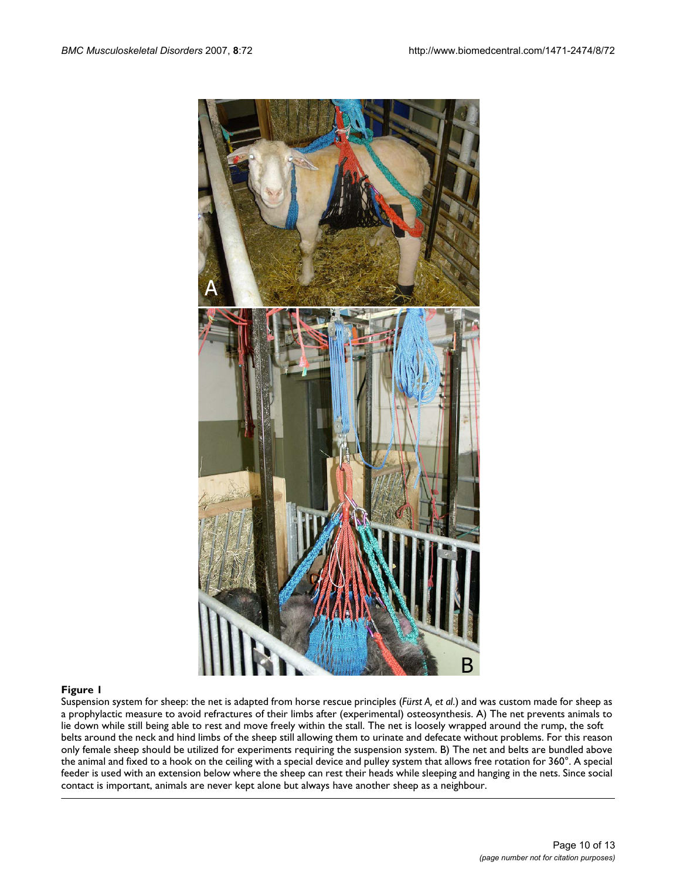

Suspension system for sheep: the net is adapted from horse rescue principles (*Fürst A, et al*.) and was custom made for sheep as a prophylactic measure to avoid refractures of their limbs after (experimental) osteosynthesis. A) The net prevents animals to lie down while still being able to rest and move freely within the stall. The net is loosely wrapped around the rump, the soft belts around the neck and hind limbs of the sheep still allowing them to urinate and defecate without problems. For this reason only female sheep should be utilized for experiments requiring the suspension system. B) The net and belts are bundled above the animal and fixed to a hook on the ceiling with a special device and pulley system that allows free rotation for 360°. A special feeder is used with an extension below where the sheep can rest their heads while sleeping and hanging in the nets. Since social contact is important, animals are never kept alone but always have another sheep as a neighbour.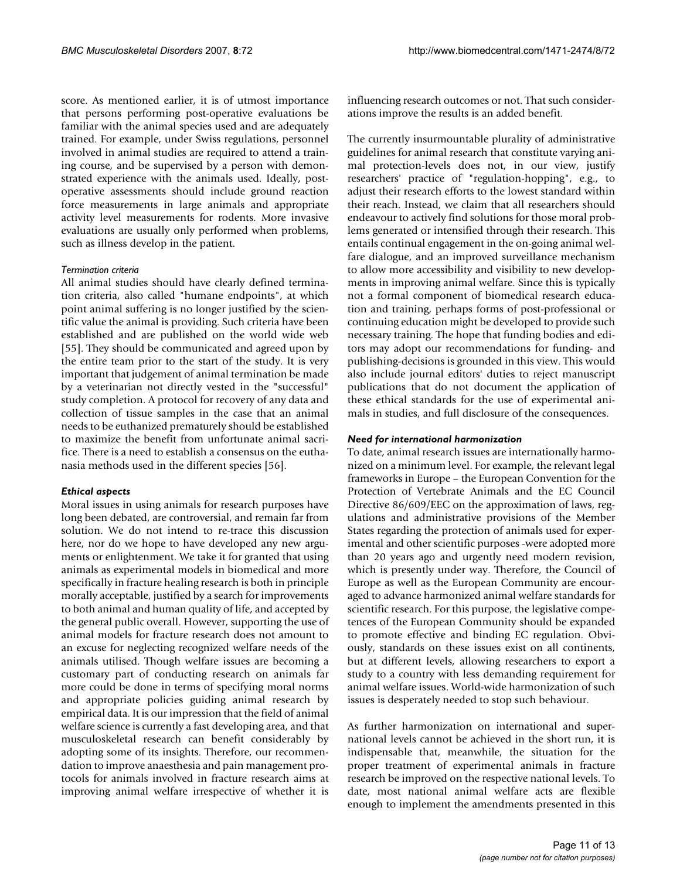score. As mentioned earlier, it is of utmost importance that persons performing post-operative evaluations be familiar with the animal species used and are adequately trained. For example, under Swiss regulations, personnel involved in animal studies are required to attend a training course, and be supervised by a person with demonstrated experience with the animals used. Ideally, postoperative assessments should include ground reaction force measurements in large animals and appropriate activity level measurements for rodents. More invasive evaluations are usually only performed when problems, such as illness develop in the patient.

#### *Termination criteria*

All animal studies should have clearly defined termination criteria, also called "humane endpoints", at which point animal suffering is no longer justified by the scientific value the animal is providing. Such criteria have been established and are published on the world wide web [55]. They should be communicated and agreed upon by the entire team prior to the start of the study. It is very important that judgement of animal termination be made by a veterinarian not directly vested in the "successful" study completion. A protocol for recovery of any data and collection of tissue samples in the case that an animal needs to be euthanized prematurely should be established to maximize the benefit from unfortunate animal sacrifice. There is a need to establish a consensus on the euthanasia methods used in the different species [56].

#### *Ethical aspects*

Moral issues in using animals for research purposes have long been debated, are controversial, and remain far from solution. We do not intend to re-trace this discussion here, nor do we hope to have developed any new arguments or enlightenment. We take it for granted that using animals as experimental models in biomedical and more specifically in fracture healing research is both in principle morally acceptable, justified by a search for improvements to both animal and human quality of life, and accepted by the general public overall. However, supporting the use of animal models for fracture research does not amount to an excuse for neglecting recognized welfare needs of the animals utilised. Though welfare issues are becoming a customary part of conducting research on animals far more could be done in terms of specifying moral norms and appropriate policies guiding animal research by empirical data. It is our impression that the field of animal welfare science is currently a fast developing area, and that musculoskeletal research can benefit considerably by adopting some of its insights. Therefore, our recommendation to improve anaesthesia and pain management protocols for animals involved in fracture research aims at improving animal welfare irrespective of whether it is influencing research outcomes or not. That such considerations improve the results is an added benefit.

The currently insurmountable plurality of administrative guidelines for animal research that constitute varying animal protection-levels does not, in our view, justify researchers' practice of "regulation-hopping", e.g., to adjust their research efforts to the lowest standard within their reach. Instead, we claim that all researchers should endeavour to actively find solutions for those moral problems generated or intensified through their research. This entails continual engagement in the on-going animal welfare dialogue, and an improved surveillance mechanism to allow more accessibility and visibility to new developments in improving animal welfare. Since this is typically not a formal component of biomedical research education and training, perhaps forms of post-professional or continuing education might be developed to provide such necessary training. The hope that funding bodies and editors may adopt our recommendations for funding- and publishing-decisions is grounded in this view. This would also include journal editors' duties to reject manuscript publications that do not document the application of these ethical standards for the use of experimental animals in studies, and full disclosure of the consequences.

#### *Need for international harmonization*

To date, animal research issues are internationally harmonized on a minimum level. For example, the relevant legal frameworks in Europe – the European Convention for the Protection of Vertebrate Animals and the EC Council Directive 86/609/EEC on the approximation of laws, regulations and administrative provisions of the Member States regarding the protection of animals used for experimental and other scientific purposes -were adopted more than 20 years ago and urgently need modern revision, which is presently under way. Therefore, the Council of Europe as well as the European Community are encouraged to advance harmonized animal welfare standards for scientific research. For this purpose, the legislative competences of the European Community should be expanded to promote effective and binding EC regulation. Obviously, standards on these issues exist on all continents, but at different levels, allowing researchers to export a study to a country with less demanding requirement for animal welfare issues. World-wide harmonization of such issues is desperately needed to stop such behaviour.

As further harmonization on international and supernational levels cannot be achieved in the short run, it is indispensable that, meanwhile, the situation for the proper treatment of experimental animals in fracture research be improved on the respective national levels. To date, most national animal welfare acts are flexible enough to implement the amendments presented in this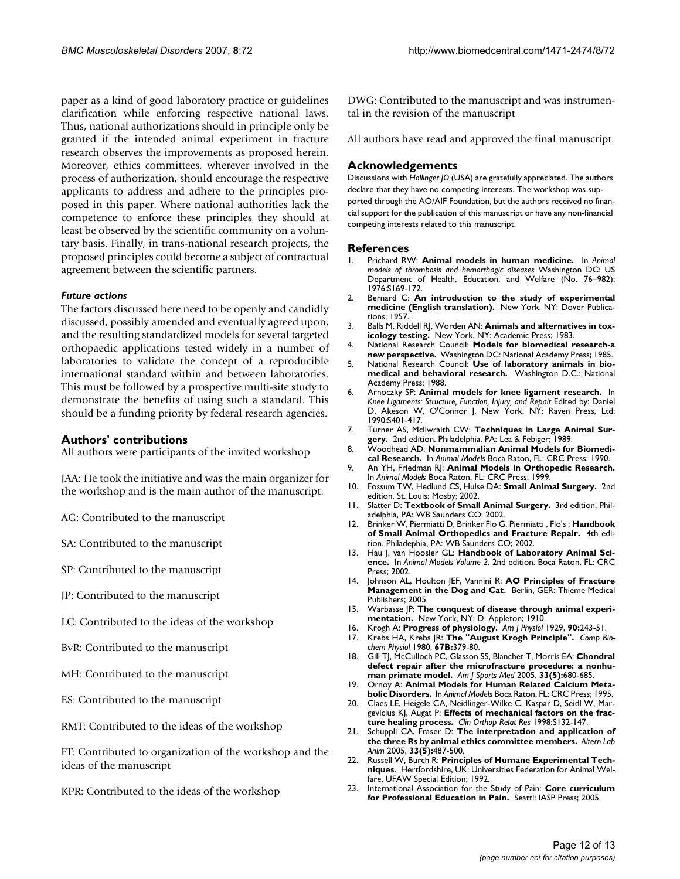paper as a kind of good laboratory practice or guidelines clarification while enforcing respective national laws. Thus, national authorizations should in principle only be granted if the intended animal experiment in fracture research observes the improvements as proposed herein. Moreover, ethics committees, wherever involved in the process of authorization, should encourage the respective applicants to address and adhere to the principles proposed in this paper. Where national authorities lack the competence to enforce these principles they should at least be observed by the scientific community on a voluntary basis. Finally, in trans-national research projects, the proposed principles could become a subject of contractual agreement between the scientific partners.

#### *Future actions*

The factors discussed here need to be openly and candidly discussed, possibly amended and eventually agreed upon, and the resulting standardized models for several targeted orthopaedic applications tested widely in a number of laboratories to validate the concept of a reproducible international standard within and between laboratories. This must be followed by a prospective multi-site study to demonstrate the benefits of using such a standard. This should be a funding priority by federal research agencies.

#### **Authors' contributions**

All authors were participants of the invited workshop

JAA: He took the initiative and was the main organizer for the workshop and is the main author of the manuscript.

- AG: Contributed to the manuscript
- SA: Contributed to the manuscript
- SP: Contributed to the manuscript
- JP: Contributed to the manuscript
- LC: Contributed to the ideas of the workshop
- BvR: Contributed to the manuscript
- MH: Contributed to the manuscript
- ES: Contributed to the manuscript
- RMT: Contributed to the ideas of the workshop

FT: Contributed to organization of the workshop and the ideas of the manuscript

KPR: Contributed to the ideas of the workshop

DWG: Contributed to the manuscript and was instrumental in the revision of the manuscript

All authors have read and approved the final manuscript.

#### **Acknowledgements**

Discussions with *Hollinger JO* (USA) are gratefully appreciated. The authors declare that they have no competing interests. The workshop was supported through the AO/AIF Foundation, but the authors received no financial support for the publication of this manuscript or have any non-financial competing interests related to this manuscript.

#### **References**

- 1. Prichard RW: **Animal models in human medicine.** In *Animal models of thrombosis and hemorrhagic diseases* Washington DC: US Department of Health, Education, and Welfare (No. 76–982); 1976:S169-172.
- 2. Bernard C: **An introduction to the study of experimental medicine (English translation).** New York, NY: Dover Publications; 1957.
- 3. Balls M, Riddell RJ, Worden AN: **[Animals and alternatives in tox](http://www.ncbi.nlm.nih.gov/entrez/query.fcgi?cmd=Retrieve&db=PubMed&dopt=Abstract&list_uids=6880778)[icology testing.](http://www.ncbi.nlm.nih.gov/entrez/query.fcgi?cmd=Retrieve&db=PubMed&dopt=Abstract&list_uids=6880778)** New York, NY: Academic Press; 1983.
- 4. National Research Council: **Models for biomedical research-a new perspective.** Washington DC: National Academy Press; 1985.
- 5. National Research Council: **Use of laboratory animals in biomedical and behavioral research.** Washington D.C.: National Academy Press; 1988.
- 6. Arnoczky SP: **Animal models for knee ligament research.** In *Knee Ligaments: Structure, Function, Injury, and Repair* Edited by: Daniel D, Akeson W, O'Connor J. New York, NY: Raven Press, Ltd; 1990:S401-417.
- 7. Turner AS, Mcllwraith CW: **Techniques in Large Animal Surgery.** 2nd edition. Philadelphia, PA: Lea & Febiger; 1989.
- 8. Woodhead AD: **Nonmammalian Animal Models for Biomedical Research.** In *Animal Models* Boca Raton, FL: CRC Press; 1990.
- 9. An YH, Friedman RJ: **Animal Models in Orthopedic Research.** In *Animal Models* Boca Raton, FL: CRC Press; 1999.
- 10. Fossum TW, Hedlund CS, Hulse DA: **Small Animal Surgery.** 2nd edition. St. Louis: Mosby; 2002.
- 11. Slatter D: **Textbook of Small Animal Surgery.** 3rd edition. Philadelphia, PA: WB Saunders CO; 2002.
- 12. Brinker W, Piermiatti D, Brinker Flo G, Piermiatti , Flo's : **Handbook of Small Animal Orthopedics and Fracture Repair.** 4th edition. Philadephia, PA: WB Saunders CO; 2002.
- 13. Hau J, van Hoosier GL: **Handbook of Laboratory Animal Science.** In *Animal Models Volume 2*. 2nd edition. Boca Raton, FL: CRC Press; 2002.
- 14. Johnson AL, Houlton JEF, Vannini R: **AO Principles of Fracture Management in the Dog and Cat.** Berlin, GER: Thieme Medical Publishers; 2005.
- 15. Warbasse JP: **The conquest of disease through animal experimentation.** New York, NY: D. Appleton; 1910.
- 16. Krogh A: **Progress of physiology.** *Am J Physiol* 1929, **90:**243-51.
- 17. Krebs HA, Krebs JR: **The "August Krogh Principle".** *Comp Biochem Physiol* 1980, **67B:**379-80.
- 18. Gill TJ, McCulloch PC, Glasson SS, Blanchet T, Morris EA: **[Chondral](http://www.ncbi.nlm.nih.gov/entrez/query.fcgi?cmd=Retrieve&db=PubMed&dopt=Abstract&list_uids=15722269) [defect repair after the microfracture procedure: a nonhu](http://www.ncbi.nlm.nih.gov/entrez/query.fcgi?cmd=Retrieve&db=PubMed&dopt=Abstract&list_uids=15722269)[man primate model.](http://www.ncbi.nlm.nih.gov/entrez/query.fcgi?cmd=Retrieve&db=PubMed&dopt=Abstract&list_uids=15722269)** *Am J Sports Med* 2005, **33(5):**680-685.
- 19. Ornoy A: **Animal Models for Human Related Calcium Metabolic Disorders.** In *Animal Models* Boca Raton, FL: CRC Press; 1995.
- 20. Claes LE, Heigele CA, Neidlinger-Wilke C, Kaspar D, Seidl W, Margevicius KJ, Augat P: **[Effects of mechanical factors on the frac](http://www.ncbi.nlm.nih.gov/entrez/query.fcgi?cmd=Retrieve&db=PubMed&dopt=Abstract&list_uids=9917634)[ture healing process.](http://www.ncbi.nlm.nih.gov/entrez/query.fcgi?cmd=Retrieve&db=PubMed&dopt=Abstract&list_uids=9917634)** *Clin Orthop Relat Res* 1998:S132-147.
- 21. Schuppli CA, Fraser D: **[The interpretation and application of](http://www.ncbi.nlm.nih.gov/entrez/query.fcgi?cmd=Retrieve&db=PubMed&dopt=Abstract&list_uids=16268760) [the three Rs by animal ethics committee members.](http://www.ncbi.nlm.nih.gov/entrez/query.fcgi?cmd=Retrieve&db=PubMed&dopt=Abstract&list_uids=16268760)** *Altern Lab Anim* 2005, **33(5):**487-500.
- 22. Russell W, Burch R: **Principles of Humane Experimental Techniques.** Hertfordshire, UK: Universities Federation for Animal Welfare, UFAW Special Edition; 1992.
- 23. International Association for the Study of Pain: **Core curriculum for Professional Education in Pain.** Seattl: IASP Press; 2005.